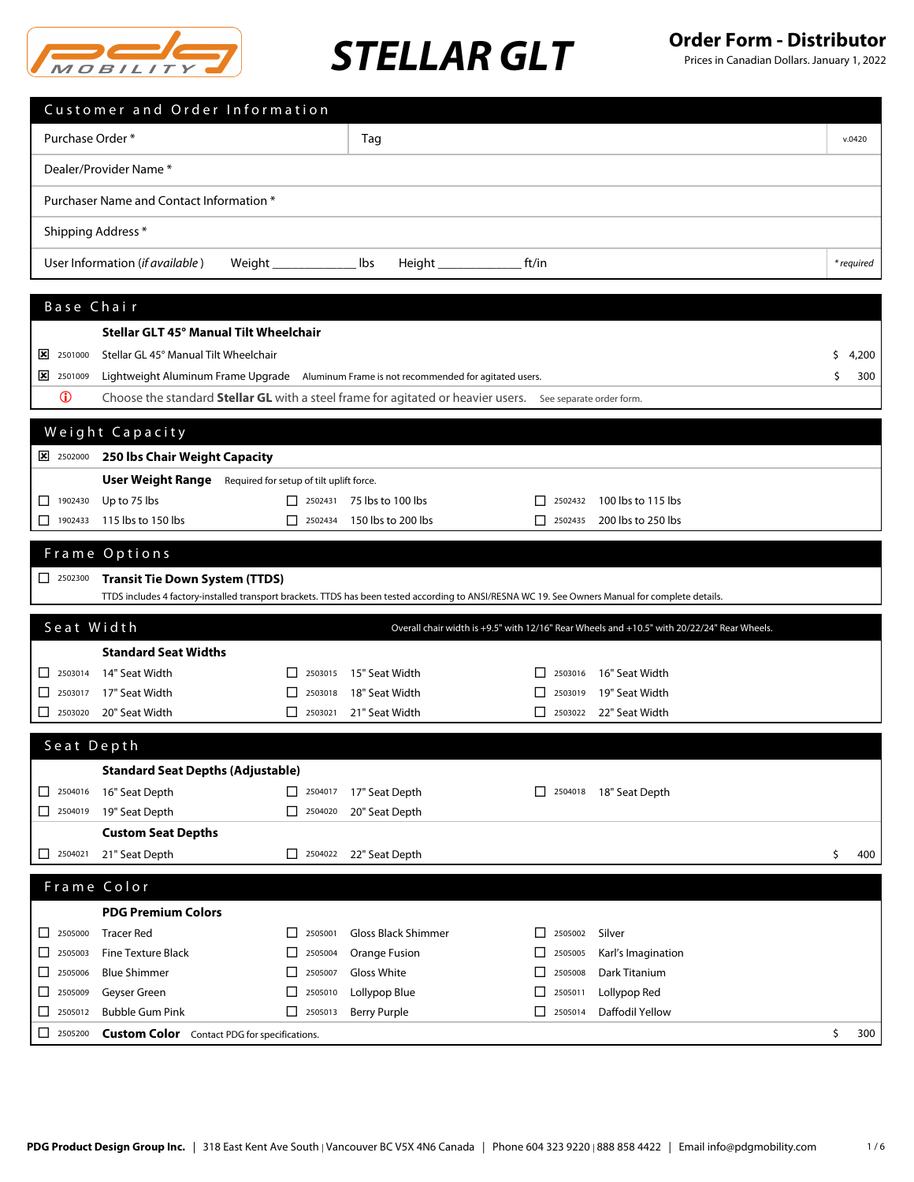

### **STELLAR GLT Order Form - Distributor STELLAR GLT**

|                                 | Customer and Order Information                                                                                                                    |                                  |                                                                                             |    |            |
|---------------------------------|---------------------------------------------------------------------------------------------------------------------------------------------------|----------------------------------|---------------------------------------------------------------------------------------------|----|------------|
| Purchase Order *                |                                                                                                                                                   | Tag                              |                                                                                             |    | v.0420     |
|                                 | Dealer/Provider Name*                                                                                                                             |                                  |                                                                                             |    |            |
|                                 | Purchaser Name and Contact Information *                                                                                                          |                                  |                                                                                             |    |            |
|                                 |                                                                                                                                                   |                                  |                                                                                             |    |            |
|                                 | Shipping Address *                                                                                                                                |                                  |                                                                                             |    |            |
|                                 | User Information (if available)<br>Weight __________________ lbs                                                                                  | Height ____________              | ft/in                                                                                       |    | * required |
| Base Chair                      |                                                                                                                                                   |                                  |                                                                                             |    |            |
|                                 | Stellar GLT 45° Manual Tilt Wheelchair                                                                                                            |                                  |                                                                                             |    |            |
| $\frac{\times}{10000}$ 2501000  | Stellar GL 45° Manual Tilt Wheelchair                                                                                                             |                                  |                                                                                             | s  | 4,200      |
| $\frac{1}{2}$ 2501009           | Lightweight Aluminum Frame Upgrade Aluminum Frame is not recommended for agitated users.                                                          |                                  |                                                                                             | \$ | 300        |
| $\mathbf 0$                     | Choose the standard <b>Stellar GL</b> with a steel frame for agitated or heavier users. See separate order form.                                  |                                  |                                                                                             |    |            |
|                                 |                                                                                                                                                   |                                  |                                                                                             |    |            |
|                                 | Weight Capacity                                                                                                                                   |                                  |                                                                                             |    |            |
|                                 | 2502000 250 lbs Chair Weight Capacity                                                                                                             |                                  |                                                                                             |    |            |
|                                 | <b>User Weight Range</b> Required for setup of tilt uplift force.                                                                                 |                                  |                                                                                             |    |            |
| 1902430                         | Up to 75 lbs                                                                                                                                      | $\Box$ 2502431 75 lbs to 100 lbs | 100 lbs to 115 lbs<br>$\begin{array}{c} \boxed{\phantom{0}} \end{array}$                    |    |            |
| ⊔<br>1902433                    | 115 lbs to 150 lbs<br>$\begin{array}{ c c }\n\hline\n\end{array}$                                                                                 | 150 lbs to 200 lbs               | 200 lbs to 250 lbs<br>$ $ 2502435                                                           |    |            |
|                                 | Frame Options                                                                                                                                     |                                  |                                                                                             |    |            |
|                                 | <b>Transit Tie Down System (TTDS)</b>                                                                                                             |                                  |                                                                                             |    |            |
|                                 | TTDS includes 4 factory-installed transport brackets. TTDS has been tested according to ANSI/RESNA WC 19. See Owners Manual for complete details. |                                  |                                                                                             |    |            |
| Seat Width                      |                                                                                                                                                   |                                  | Overall chair width is +9.5" with 12/16" Rear Wheels and +10.5" with 20/22/24" Rear Wheels. |    |            |
|                                 | <b>Standard Seat Widths</b>                                                                                                                       |                                  |                                                                                             |    |            |
| $\boxed{\phantom{000}}$ 2503014 | 14" Seat Width<br>2503015                                                                                                                         | 15" Seat Width                   | 16" Seat Width<br>2503016                                                                   |    |            |
| 2503017<br>ப                    | 17" Seat Width<br>2503018<br>ப                                                                                                                    | 18" Seat Width                   | 19" Seat Width<br>2503019<br>ΙI                                                             |    |            |
|                                 | 2503020 20" Seat Width<br>2503021                                                                                                                 | 21" Seat Width                   | 22" Seat Width<br>2503022                                                                   |    |            |
| Seat Depth                      |                                                                                                                                                   |                                  |                                                                                             |    |            |
|                                 | <b>Standard Seat Depths (Adjustable)</b>                                                                                                          |                                  |                                                                                             |    |            |
| $\Box$ 2504016                  | 16" Seat Depth<br>$\Box$ 2504017                                                                                                                  | 17" Seat Depth                   | 18" Seat Depth<br>$\sqrt{2504018}$                                                          |    |            |
| $\boxed{\phantom{000}}$ 2504019 | 19" Seat Depth<br>$\Box$ 2504020                                                                                                                  | 20" Seat Depth                   |                                                                                             |    |            |
|                                 | <b>Custom Seat Depths</b>                                                                                                                         |                                  |                                                                                             |    |            |
| $\boxed{\phantom{1}}$ 2504021   | 21" Seat Depth<br>2504022                                                                                                                         | 22" Seat Depth                   |                                                                                             | \$ | 400        |
|                                 | Frame Color                                                                                                                                       |                                  |                                                                                             |    |            |
|                                 | <b>PDG Premium Colors</b>                                                                                                                         |                                  |                                                                                             |    |            |
| $\Box$<br>2505000               | <b>Tracer Red</b><br>2505001<br>$\mathsf{L}$                                                                                                      | <b>Gloss Black Shimmer</b>       | 2505002<br>Silver<br>$\mathsf{L}$                                                           |    |            |
| 2505003<br>ш                    | <b>Fine Texture Black</b><br>ப<br>2505004                                                                                                         | Orange Fusion                    | Karl's Imagination<br>⊔<br>2505005                                                          |    |            |
| 2505006<br>ப                    | <b>Blue Shimmer</b><br>2505007<br>⊔                                                                                                               | Gloss White                      | Dark Titanium<br>2505008                                                                    |    |            |
| □<br>2505009                    | Geyser Green<br>□<br>2505010                                                                                                                      | Lollypop Blue                    | Lollypop Red<br>□<br>2505011                                                                |    |            |
| □<br>2505012                    | <b>Bubble Gum Pink</b><br>$\Box$ 2505013                                                                                                          | Berry Purple                     | Daffodil Yellow<br>$\Box$<br>2505014                                                        |    |            |
| □<br>2505200                    | <b>Custom Color</b> Contact PDG for specifications.                                                                                               |                                  |                                                                                             | \$ | 300        |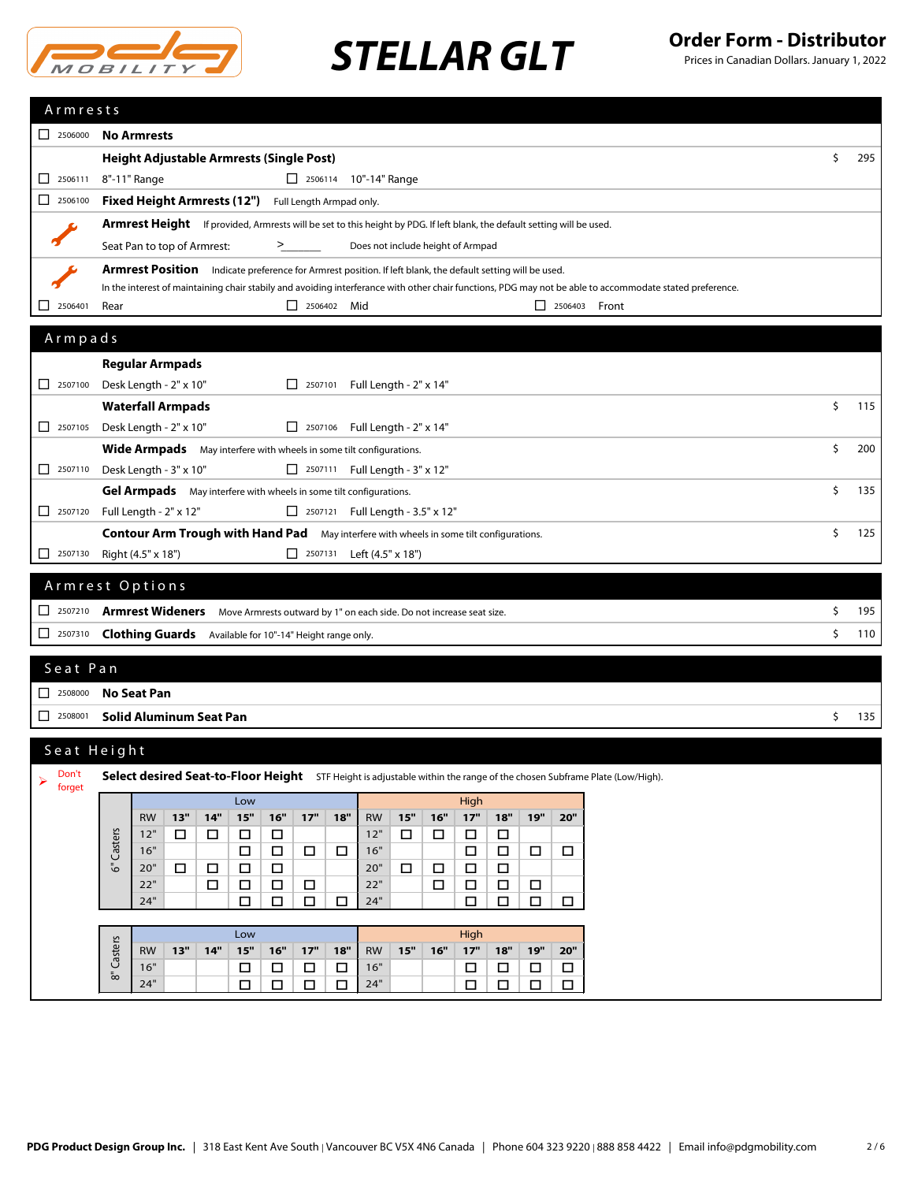

|                                                                           | Armrests                                                                                                                                                 |                            |                                       |                  |                            |        |                      |    |     |  |  |  |
|---------------------------------------------------------------------------|----------------------------------------------------------------------------------------------------------------------------------------------------------|----------------------------|---------------------------------------|------------------|----------------------------|--------|----------------------|----|-----|--|--|--|
| $\Box$ 2506000                                                            | <b>No Armrests</b>                                                                                                                                       |                            |                                       |                  |                            |        |                      |    |     |  |  |  |
|                                                                           | Height Adjustable Armrests (Single Post)                                                                                                                 |                            |                                       |                  |                            |        |                      |    |     |  |  |  |
|                                                                           | 8"-11" Range<br>2506114 10"-14" Range                                                                                                                    |                            |                                       |                  |                            |        |                      |    |     |  |  |  |
| 2506100<br>□                                                              | <b>Fixed Height Armrests (12")</b><br>Full Length Armpad only.                                                                                           |                            |                                       |                  |                            |        |                      |    |     |  |  |  |
|                                                                           | Armrest Height If provided, Armrests will be set to this height by PDG. If left blank, the default setting will be used.                                 |                            |                                       |                  |                            |        |                      |    |     |  |  |  |
|                                                                           | Seat Pan to top of Armrest:                                                                                                                              | >                          | Does not include height of Armpad     |                  |                            |        |                      |    |     |  |  |  |
|                                                                           | Armrest Position Indicate preference for Armrest position. If left blank, the default setting will be used.                                              |                            |                                       |                  |                            |        |                      |    |     |  |  |  |
|                                                                           | In the interest of maintaining chair stabily and avoiding interferance with other chair functions, PDG may not be able to accommodate stated preference. |                            |                                       |                  |                            |        |                      |    |     |  |  |  |
| ΙI<br>2506401                                                             | Rear                                                                                                                                                     | 2506402 Mid                |                                       |                  |                            |        | $\Box$ 2506403 Front |    |     |  |  |  |
| Armpads                                                                   |                                                                                                                                                          |                            |                                       |                  |                            |        |                      |    |     |  |  |  |
|                                                                           | <b>Regular Armpads</b>                                                                                                                                   |                            |                                       |                  |                            |        |                      |    |     |  |  |  |
| $\begin{array}{ c c }\n\hline\n\end{array}$ 2507100                       | Desk Length - 2" x 10"                                                                                                                                   |                            | □ 2507101 Full Length - 2" x 14"      |                  |                            |        |                      |    |     |  |  |  |
|                                                                           | <b>Waterfall Armpads</b>                                                                                                                                 |                            |                                       |                  |                            |        |                      | \$ | 115 |  |  |  |
| $\begin{array}{ c c c }\n\hline\n2507105\n\end{array}$                    | Desk Length - 2" x 10"                                                                                                                                   |                            | □ 2507106 Full Length - 2" x 14"      |                  |                            |        |                      |    |     |  |  |  |
|                                                                           | Wide Armpads May interfere with wheels in some tilt configurations.                                                                                      |                            |                                       |                  |                            |        |                      | \$ | 200 |  |  |  |
| $\begin{array}{ c c c c c } \hline \quad & 2507110 \\ \hline \end{array}$ | Desk Length - 3" x 10"                                                                                                                                   |                            | $\Box$ 2507111 Full Length - 3" x 12" |                  |                            |        |                      |    |     |  |  |  |
|                                                                           | Gel Armpads May interfere with wheels in some tilt configurations.                                                                                       |                            |                                       |                  |                            |        |                      | Ŝ. | 135 |  |  |  |
| $\begin{array}{ c c c c c } \hline \quad & 2507120 \end{array}$           | Full Length - 2" x 12"                                                                                                                                   |                            | 2507121 Full Length - 3.5" x 12"      |                  |                            |        |                      |    |     |  |  |  |
|                                                                           | Contour Arm Trough with Hand Pad May interfere with wheels in some tilt configurations.                                                                  |                            |                                       |                  |                            |        |                      | \$ | 125 |  |  |  |
| $\Box$<br>2507130                                                         | Right (4.5" x 18")                                                                                                                                       |                            | Left (4.5" x 18")                     |                  |                            |        |                      |    |     |  |  |  |
|                                                                           |                                                                                                                                                          |                            |                                       |                  |                            |        |                      |    |     |  |  |  |
|                                                                           | Armrest Options                                                                                                                                          |                            |                                       |                  |                            |        |                      |    |     |  |  |  |
| $\begin{array}{ c c c c c } \hline \quad & 2507210 \end{array}$           | Armrest Wideners Move Armrests outward by 1" on each side. Do not increase seat size.                                                                    |                            |                                       |                  |                            |        |                      | \$ | 195 |  |  |  |
| $\begin{array}{ c c c c c } \hline \quad & 2507310 \\\hline \end{array}$  | <b>Clothing Guards</b> Available for 10"-14" Height range only.                                                                                          |                            |                                       |                  |                            |        |                      | \$ | 110 |  |  |  |
| Seat Pan                                                                  |                                                                                                                                                          |                            |                                       |                  |                            |        |                      |    |     |  |  |  |
|                                                                           |                                                                                                                                                          |                            |                                       |                  |                            |        |                      |    |     |  |  |  |
|                                                                           |                                                                                                                                                          |                            |                                       |                  |                            |        |                      |    |     |  |  |  |
| $\Box$ 2508000                                                            | <b>No Seat Pan</b>                                                                                                                                       |                            |                                       |                  |                            |        |                      |    |     |  |  |  |
| $\begin{array}{ c c }\n\hline\n\end{array}$ 2508001                       | <b>Solid Aluminum Seat Pan</b>                                                                                                                           |                            |                                       |                  |                            |        |                      | \$ | 135 |  |  |  |
|                                                                           | Seat Height                                                                                                                                              |                            |                                       |                  |                            |        |                      |    |     |  |  |  |
| Don't                                                                     | Select desired Seat-to-Floor Height STF Height is adjustable within the range of the chosen Subframe Plate (Low/High).                                   |                            |                                       |                  |                            |        |                      |    |     |  |  |  |
| ➤<br>forget                                                               | Low                                                                                                                                                      |                            |                                       | High             |                            |        |                      |    |     |  |  |  |
|                                                                           | 13"<br>14"<br>15"<br><b>RW</b>                                                                                                                           | 16"<br>17"<br>18"          | 15"<br>16"<br><b>RW</b>               | $17"$            | 19"<br>18"                 | 20"    |                      |    |     |  |  |  |
|                                                                           | 12"<br>$\Box$<br>$\Box$<br>$\Box$                                                                                                                        | $\Box$                     | 12"<br>$\Box$<br>$\Box$               | $\Box$           | $\Box$                     |        |                      |    |     |  |  |  |
|                                                                           | Casters<br>16"<br>$\Box$                                                                                                                                 | $\Box$<br>$\Box$<br>$\Box$ | 16"                                   | $\Box$           | $\Box$<br>$\Box$           | $\Box$ |                      |    |     |  |  |  |
|                                                                           | $\bar{5}$<br>20"<br>0<br>$\Box$<br>$\Box$<br>22"<br>$\Box$<br>$\Box$                                                                                     | $\Box$<br>$\Box$<br>$\Box$ | 20"<br>□<br>□<br>22"<br>$\Box$        | $\Box$<br>$\Box$ | $\Box$<br>$\Box$<br>$\Box$ |        |                      |    |     |  |  |  |
|                                                                           | 24"<br>$\Box$                                                                                                                                            | $\Box$<br>$\Box$<br>$\Box$ | 24"                                   | $\Box$           | $\Box$<br>$\Box$           | $\Box$ |                      |    |     |  |  |  |
|                                                                           |                                                                                                                                                          |                            |                                       |                  |                            |        |                      |    |     |  |  |  |
|                                                                           | Low<br>13"<br>14"<br>15"<br><b>RW</b>                                                                                                                    | $16"$<br>$17"$<br>18"      | 15"<br><b>RW</b><br>16"               | High<br>$17"$    | $18"$<br>19"               | 20"    |                      |    |     |  |  |  |
|                                                                           | Casters<br>16"<br>□                                                                                                                                      | $\Box$<br>$\Box$<br>$\Box$ | 16"                                   | $\Box$           | $\Box$<br>$\Box$           | $\Box$ |                      |    |     |  |  |  |
|                                                                           | $\bar{\mathbb{Q}}$<br>24"<br>□                                                                                                                           | $\Box$<br>$\Box$<br>□      | 24"                                   | $\Box$           | $\Box$<br>$\Box$           | $\Box$ |                      |    |     |  |  |  |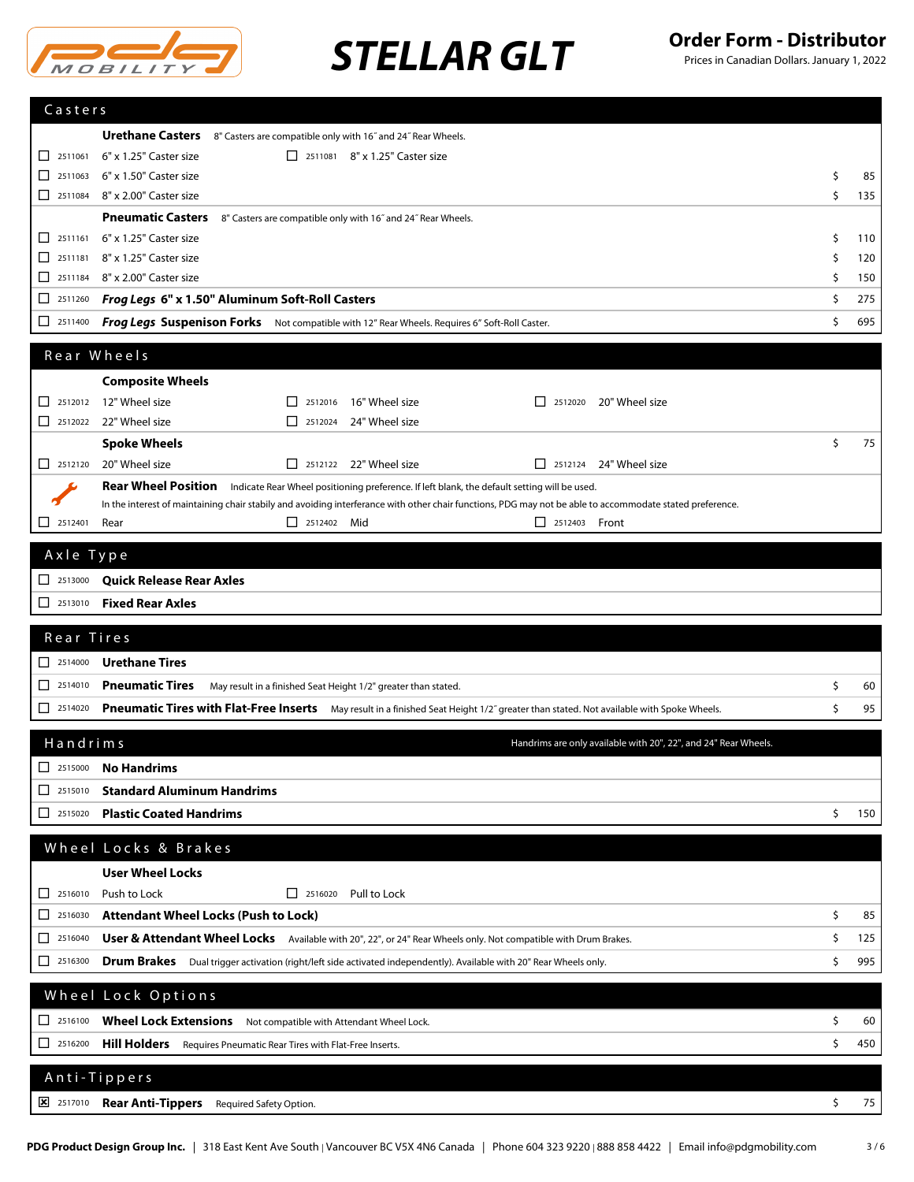

| Casters                                                                  |                                                                                                                                                          |          |            |
|--------------------------------------------------------------------------|----------------------------------------------------------------------------------------------------------------------------------------------------------|----------|------------|
|                                                                          |                                                                                                                                                          |          |            |
|                                                                          | <b>Urethane Casters</b> 8" Casters are compatible only with 16" and 24" Rear Wheels.                                                                     |          |            |
| $\begin{array}{ c c c c c } \hline \quad & 2511061 \\\hline \end{array}$ | 6" x 1.25" Caster size<br>2511081 8" x 1.25" Caster size                                                                                                 |          |            |
| □<br>2511063<br>$\Box$ 2511084                                           | 6" x 1.50" Caster size<br>8" x 2.00" Caster size                                                                                                         | Ŝ.<br>Ś. | 85<br>135  |
|                                                                          |                                                                                                                                                          |          |            |
|                                                                          | <b>Pneumatic Casters</b><br>8" Casters are compatible only with 16" and 24" Rear Wheels.<br>6" x 1.25" Caster size                                       | Ŝ.       |            |
| $\Box$ 2511161<br>□                                                      | 2511181 8" x 1.25" Caster size                                                                                                                           | \$       | 110<br>120 |
| □.                                                                       | 2511184 8" x 2.00" Caster size                                                                                                                           | \$       | 150        |
| ப                                                                        | 2511260 Frog Legs 6" x 1.50" Aluminum Soft-Roll Casters                                                                                                  | Ŝ.       | 275        |
| $\Box$<br>2511400                                                        | <b>Frog Legs Suspenison Forks</b> Not compatible with 12" Rear Wheels. Requires 6" Soft-Roll Caster.                                                     | \$       | 695        |
|                                                                          |                                                                                                                                                          |          |            |
|                                                                          | Rear Wheels                                                                                                                                              |          |            |
|                                                                          | <b>Composite Wheels</b>                                                                                                                                  |          |            |
| 0                                                                        | 2512012 12" Wheel size<br>16" Wheel size<br>20" Wheel size<br>2512016<br>2512020<br>$\perp$<br>$\mathsf{L}$                                              |          |            |
|                                                                          | $\Box$ 2512022 22" Wheel size<br>24" Wheel size<br>$\Box$ 2512024                                                                                        |          |            |
|                                                                          | <b>Spoke Wheels</b>                                                                                                                                      | \$       | 75         |
|                                                                          | 2512120 20" Wheel size<br>2512122 22" Wheel size<br>$\Box$ 2512124 24" Wheel size                                                                        |          |            |
|                                                                          | <b>Rear Wheel Position</b><br>Indicate Rear Wheel positioning preference. If left blank, the default setting will be used.                               |          |            |
|                                                                          | In the interest of maintaining chair stabily and avoiding interferance with other chair functions, PDG may not be able to accommodate stated preference. |          |            |
| 2512401<br>ப                                                             | Rear<br>$\Box$ 2512402 Mid<br>$\Box$ 2512403 Front                                                                                                       |          |            |
| Axle Type                                                                |                                                                                                                                                          |          |            |
| $\begin{array}{ c c c c c } \hline \quad & 2513000 \end{array}$          | Quick Release Rear Axles                                                                                                                                 |          |            |
|                                                                          |                                                                                                                                                          |          |            |
| 2513010                                                                  | <b>Fixed Rear Axles</b>                                                                                                                                  |          |            |
| Rear Tires                                                               |                                                                                                                                                          |          |            |
| $\begin{array}{ c c c c c } \hline \quad 2514000 \end{array}$            | <b>Urethane Tires</b>                                                                                                                                    |          |            |
| $\boxed{\phantom{000}}$ 2514010                                          | <b>Pneumatic Tires</b><br>May result in a finished Seat Height 1/2" greater than stated.                                                                 | \$       | 60         |
| 2514020<br>□.                                                            | Pneumatic Tires with Flat-Free Inserts May result in a finished Seat Height 1/2" greater than stated. Not available with Spoke Wheels.                   | Ś.       | 95         |
|                                                                          |                                                                                                                                                          |          |            |
| Handrims                                                                 | Handrims are only available with 20", 22", and 24" Rear Wheels.                                                                                          |          |            |
| ப<br>2515000                                                             | <b>No Handrims</b>                                                                                                                                       |          |            |
| 2515010<br>ப                                                             | <b>Standard Aluminum Handrims</b>                                                                                                                        |          |            |
| 2515020<br>ப                                                             | <b>Plastic Coated Handrims</b>                                                                                                                           | \$       | 150        |
|                                                                          |                                                                                                                                                          |          |            |
|                                                                          | Wheel Locks & Brakes                                                                                                                                     |          |            |
|                                                                          | <b>User Wheel Locks</b>                                                                                                                                  |          |            |
| 2516010<br>ப                                                             | Push to Lock<br>$\Box$ 2516020<br>Pull to Lock                                                                                                           |          |            |
| 2516030<br>ப                                                             | <b>Attendant Wheel Locks (Push to Lock)</b>                                                                                                              | \$       | 85         |
| 2516040<br>ப                                                             |                                                                                                                                                          | \$       | 125        |
|                                                                          | User & Attendant Wheel Locks Available with 20", 22", or 24" Rear Wheels only. Not compatible with Drum Brakes.                                          |          |            |
| $\Box$ 2516300                                                           |                                                                                                                                                          | \$       | 995        |
|                                                                          | Drum Brakes Dual trigger activation (right/left side activated independently). Available with 20" Rear Wheels only.                                      |          |            |
|                                                                          | Wheel Lock Options                                                                                                                                       |          |            |
| $\boxed{\phantom{000}}$ 2516100                                          | Wheel Lock Extensions Not compatible with Attendant Wheel Lock.                                                                                          | \$       | 60         |
| 12516200                                                                 | Hill Holders Requires Pneumatic Rear Tires with Flat-Free Inserts.                                                                                       | \$       | 450        |
|                                                                          |                                                                                                                                                          |          |            |
|                                                                          | Anti-Tippers                                                                                                                                             |          |            |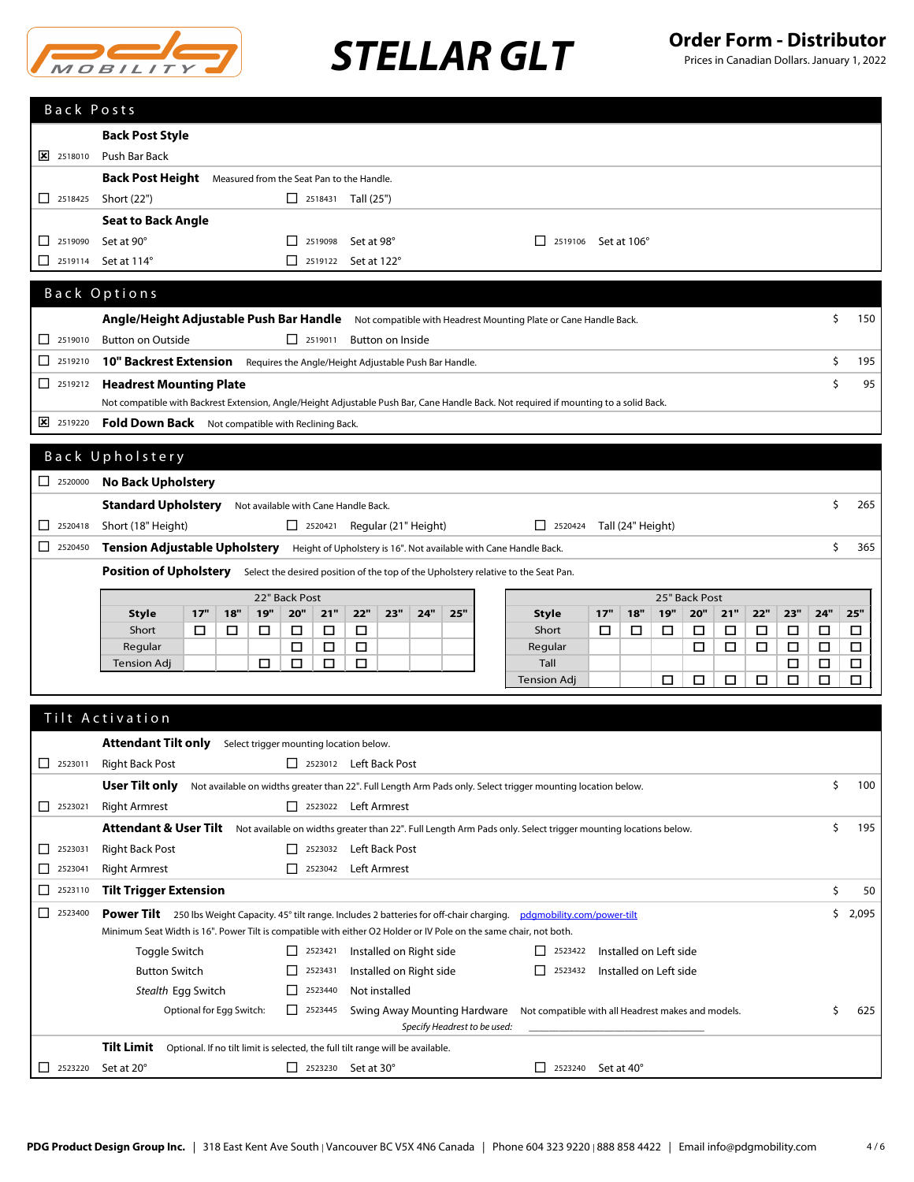

| Back Posts                                          |                                                                                                                                       |                          |     |            |                                                                       |        |                                                                                |     |     |                                                                                                              |  |                                                    |                                                                           |     |                   |                        |               |        |        |        |        |             |
|-----------------------------------------------------|---------------------------------------------------------------------------------------------------------------------------------------|--------------------------|-----|------------|-----------------------------------------------------------------------|--------|--------------------------------------------------------------------------------|-----|-----|--------------------------------------------------------------------------------------------------------------|--|----------------------------------------------------|---------------------------------------------------------------------------|-----|-------------------|------------------------|---------------|--------|--------|--------|--------|-------------|
|                                                     | <b>Back Post Style</b>                                                                                                                |                          |     |            |                                                                       |        |                                                                                |     |     |                                                                                                              |  |                                                    |                                                                           |     |                   |                        |               |        |        |        |        |             |
| $\frac{1}{2}$ 2518010                               | Push Bar Back                                                                                                                         |                          |     |            |                                                                       |        |                                                                                |     |     |                                                                                                              |  |                                                    |                                                                           |     |                   |                        |               |        |        |        |        |             |
|                                                     | <b>Back Post Height</b> Measured from the Seat Pan to the Handle.                                                                     |                          |     |            |                                                                       |        |                                                                                |     |     |                                                                                                              |  |                                                    |                                                                           |     |                   |                        |               |        |        |        |        |             |
| $\begin{array}{ c c }\n\hline\n\end{array}$ 2518425 | Short (22")                                                                                                                           |                          |     |            |                                                                       |        | $\Box$ 2518431 Tall (25")                                                      |     |     |                                                                                                              |  |                                                    |                                                                           |     |                   |                        |               |        |        |        |        |             |
|                                                     | <b>Seat to Back Angle</b>                                                                                                             |                          |     |            |                                                                       |        |                                                                                |     |     |                                                                                                              |  |                                                    |                                                                           |     |                   |                        |               |        |        |        |        |             |
| 2519090<br>ப                                        | Set at 90°                                                                                                                            |                          |     |            | $\begin{array}{ c c }\n\hline\n\end{array}$ 2519098                   |        | Set at 98°                                                                     |     |     |                                                                                                              |  |                                                    | $\Box$ 2519106 Set at 106°                                                |     |                   |                        |               |        |        |        |        |             |
| ப<br>2519114                                        | Set at 114°                                                                                                                           |                          |     |            |                                                                       |        | $\Box$ 2519122 Set at 122°                                                     |     |     |                                                                                                              |  |                                                    |                                                                           |     |                   |                        |               |        |        |        |        |             |
|                                                     |                                                                                                                                       |                          |     |            |                                                                       |        |                                                                                |     |     |                                                                                                              |  |                                                    |                                                                           |     |                   |                        |               |        |        |        |        |             |
|                                                     | Back Options                                                                                                                          |                          |     |            |                                                                       |        |                                                                                |     |     |                                                                                                              |  |                                                    |                                                                           |     |                   |                        |               |        |        |        |        |             |
|                                                     | Angle/Height Adjustable Push Bar Handle Not compatible with Headrest Mounting Plate or Cane Handle Back.                              |                          |     |            |                                                                       |        |                                                                                |     |     |                                                                                                              |  |                                                    |                                                                           |     |                   |                        |               |        |        |        | \$     | 150         |
| 2519010<br>ப                                        | <b>Button on Outside</b>                                                                                                              |                          |     |            | $\Box$ 2519011                                                        |        | Button on Inside                                                               |     |     |                                                                                                              |  |                                                    |                                                                           |     |                   |                        |               |        |        |        |        |             |
| □<br>2519210                                        | 10" Backrest Extension                                                                                                                |                          |     |            |                                                                       |        | Requires the Angle/Height Adjustable Push Bar Handle.                          |     |     |                                                                                                              |  |                                                    |                                                                           |     |                   |                        |               |        |        |        | \$     | 195         |
| □<br>2519212                                        | <b>Headrest Mounting Plate</b>                                                                                                        |                          |     |            |                                                                       |        |                                                                                |     |     |                                                                                                              |  |                                                    |                                                                           |     |                   |                        |               |        |        |        | \$     | 95          |
|                                                     | Not compatible with Backrest Extension, Angle/Height Adjustable Push Bar, Cane Handle Back. Not required if mounting to a solid Back. |                          |     |            |                                                                       |        |                                                                                |     |     |                                                                                                              |  |                                                    |                                                                           |     |                   |                        |               |        |        |        |        |             |
| 2519220                                             | Fold Down Back Not compatible with Reclining Back.                                                                                    |                          |     |            |                                                                       |        |                                                                                |     |     |                                                                                                              |  |                                                    |                                                                           |     |                   |                        |               |        |        |        |        |             |
|                                                     | Back Upholstery                                                                                                                       |                          |     |            |                                                                       |        |                                                                                |     |     |                                                                                                              |  |                                                    |                                                                           |     |                   |                        |               |        |        |        |        |             |
| $\begin{array}{ c c }\n\hline\n\end{array}$ 2520000 | <b>No Back Upholstery</b>                                                                                                             |                          |     |            |                                                                       |        |                                                                                |     |     |                                                                                                              |  |                                                    |                                                                           |     |                   |                        |               |        |        |        |        |             |
|                                                     | Standard Upholstery                                                                                                                   |                          |     |            |                                                                       |        | Not available with Cane Handle Back.                                           |     |     |                                                                                                              |  |                                                    |                                                                           |     |                   |                        |               |        |        |        | \$     | 265         |
| □<br>2520418                                        | Short (18" Height)                                                                                                                    |                          |     |            |                                                                       |        | $\Box$ 2520421 Regular (21" Height)                                            |     |     |                                                                                                              |  |                                                    | $\boxed{\phantom{1}}$ 2520424                                             |     | Tall (24" Height) |                        |               |        |        |        |        |             |
| □<br>2520450                                        | Tension Adjustable Upholstery Height of Upholstery is 16". Not available with Cane Handle Back.                                       |                          |     |            |                                                                       |        |                                                                                |     |     |                                                                                                              |  |                                                    |                                                                           |     |                   |                        |               |        |        |        | \$     | 365         |
|                                                     |                                                                                                                                       |                          |     |            |                                                                       |        |                                                                                |     |     |                                                                                                              |  |                                                    |                                                                           |     |                   |                        |               |        |        |        |        |             |
|                                                     | Position of Upholstery Select the desired position of the top of the Upholstery relative to the Seat Pan.                             |                          |     |            |                                                                       |        |                                                                                |     |     |                                                                                                              |  |                                                    |                                                                           |     |                   |                        |               |        |        |        |        |             |
|                                                     |                                                                                                                                       |                          |     |            |                                                                       |        |                                                                                |     |     |                                                                                                              |  |                                                    |                                                                           |     |                   |                        |               |        |        |        |        |             |
|                                                     |                                                                                                                                       |                          |     |            | 22" Back Post                                                         |        |                                                                                |     |     |                                                                                                              |  |                                                    |                                                                           |     |                   |                        | 25" Back Post |        |        |        |        |             |
|                                                     | <b>Style</b>                                                                                                                          | 17"                      | 18" | <b>19"</b> | 20"                                                                   | 21"    | 22"                                                                            | 23" | 24" | 25"                                                                                                          |  | <b>Style</b>                                       |                                                                           | 17" | 18"               | 19"                    | 20"           | 21"    | 22"    | 23"    | 24"    | 25"         |
|                                                     | Short<br>Regular                                                                                                                      | □                        | □   | □          | □<br>□                                                                | □<br>□ | □<br>□                                                                         |     |     |                                                                                                              |  | Short<br>Regular                                   |                                                                           | □   | □                 | □                      | □<br>□        | □<br>□ | □<br>□ | □<br>□ | □<br>□ | □<br>$\Box$ |
|                                                     | Tension Adj                                                                                                                           |                          |     | □          | □                                                                     | □      | □                                                                              |     |     |                                                                                                              |  | Tall                                               |                                                                           |     |                   |                        |               |        |        | □      | □      | $\Box$      |
|                                                     |                                                                                                                                       |                          |     |            |                                                                       |        |                                                                                |     |     |                                                                                                              |  | Tension Adj                                        |                                                                           |     |                   | □                      | □             | □      | □      | □      | □      | □           |
|                                                     |                                                                                                                                       |                          |     |            |                                                                       |        |                                                                                |     |     |                                                                                                              |  |                                                    |                                                                           |     |                   |                        |               |        |        |        |        |             |
|                                                     | Tilt Activation                                                                                                                       |                          |     |            |                                                                       |        |                                                                                |     |     |                                                                                                              |  |                                                    |                                                                           |     |                   |                        |               |        |        |        |        |             |
|                                                     | <b>Attendant Tilt only</b>                                                                                                            |                          |     |            |                                                                       |        | Select trigger mounting location below.                                        |     |     |                                                                                                              |  |                                                    |                                                                           |     |                   |                        |               |        |        |        |        |             |
| $\Box$ 2523011                                      | <b>Right Back Post</b>                                                                                                                |                          |     |            |                                                                       |        | 2523012 Left Back Post                                                         |     |     |                                                                                                              |  |                                                    |                                                                           |     |                   |                        |               |        |        |        |        |             |
|                                                     | User Tilt only                                                                                                                        |                          |     |            |                                                                       |        |                                                                                |     |     | Not available on widths greater than 22". Full Length Arm Pads only. Select trigger mounting location below. |  |                                                    |                                                                           |     |                   |                        |               |        |        |        | \$     | 100         |
| $\begin{array}{ c c }\n\hline\n\end{array}$ 2523021 | <b>Right Armrest</b>                                                                                                                  |                          |     |            |                                                                       |        | 2523022 Left Armrest                                                           |     |     |                                                                                                              |  |                                                    |                                                                           |     |                   |                        |               |        |        |        |        |             |
|                                                     | Attendant & User Tilt Not available on widths greater than 22". Full Length Arm Pads only. Select trigger mounting locations below.   |                          |     |            |                                                                       |        |                                                                                |     |     |                                                                                                              |  |                                                    |                                                                           |     |                   |                        |               |        |        |        | \$     | 195         |
| ப<br>2523031                                        | <b>Right Back Post</b>                                                                                                                |                          |     |            |                                                                       |        | 2523032 Left Back Post                                                         |     |     |                                                                                                              |  |                                                    |                                                                           |     |                   |                        |               |        |        |        |        |             |
| 2523041<br>ப                                        | <b>Right Armrest</b>                                                                                                                  |                          |     |            |                                                                       |        | 2523042 Left Armrest                                                           |     |     |                                                                                                              |  |                                                    |                                                                           |     |                   |                        |               |        |        |        |        |             |
| 2523110<br>⊔                                        | <b>Tilt Trigger Extension</b>                                                                                                         |                          |     |            |                                                                       |        |                                                                                |     |     |                                                                                                              |  |                                                    |                                                                           |     |                   |                        |               |        |        |        | \$     | 50          |
| □<br>2523400                                        | <b>Power Tilt</b> 250 lbs Weight Capacity. 45° tilt range. Includes 2 batteries for off-chair charging.                               |                          |     |            |                                                                       |        |                                                                                |     |     |                                                                                                              |  | pdgmobility.com/power-tilt                         |                                                                           |     |                   |                        |               |        |        |        |        | \$2,095     |
|                                                     | Minimum Seat Width is 16". Power Tilt is compatible with either O2 Holder or IV Pole on the same chair, not both.                     |                          |     |            |                                                                       |        |                                                                                |     |     |                                                                                                              |  |                                                    |                                                                           |     |                   |                        |               |        |        |        |        |             |
|                                                     | Toggle Switch                                                                                                                         |                          |     |            | $\Box$ 2523421                                                        |        | Installed on Right side                                                        |     |     |                                                                                                              |  |                                                    | $\begin{array}{ c c c c c } \hline \quad & 2523422 \\ \hline \end{array}$ |     |                   | Installed on Left side |               |        |        |        |        |             |
|                                                     | <b>Button Switch</b>                                                                                                                  |                          |     |            | $\Box$ 2523431<br>$\begin{array}{ c c }\n\hline\n\end{array}$ 2523440 |        | Installed on Right side<br>Not installed                                       |     |     |                                                                                                              |  |                                                    | $\boxed{\phantom{0}}$ 2523432                                             |     |                   | Installed on Left side |               |        |        |        |        |             |
|                                                     | Stealth Egg Switch                                                                                                                    | Optional for Egg Switch: |     |            | 12523445                                                              |        |                                                                                |     |     | Swing Away Mounting Hardware                                                                                 |  | Not compatible with all Headrest makes and models. |                                                                           |     |                   |                        |               |        |        |        | \$     | 625         |
|                                                     |                                                                                                                                       |                          |     |            |                                                                       |        |                                                                                |     |     | Specify Headrest to be used:                                                                                 |  |                                                    |                                                                           |     |                   |                        |               |        |        |        |        |             |
|                                                     | <b>Tilt Limit</b>                                                                                                                     |                          |     |            |                                                                       |        | Optional. If no tilt limit is selected, the full tilt range will be available. |     |     |                                                                                                              |  |                                                    |                                                                           |     |                   |                        |               |        |        |        |        |             |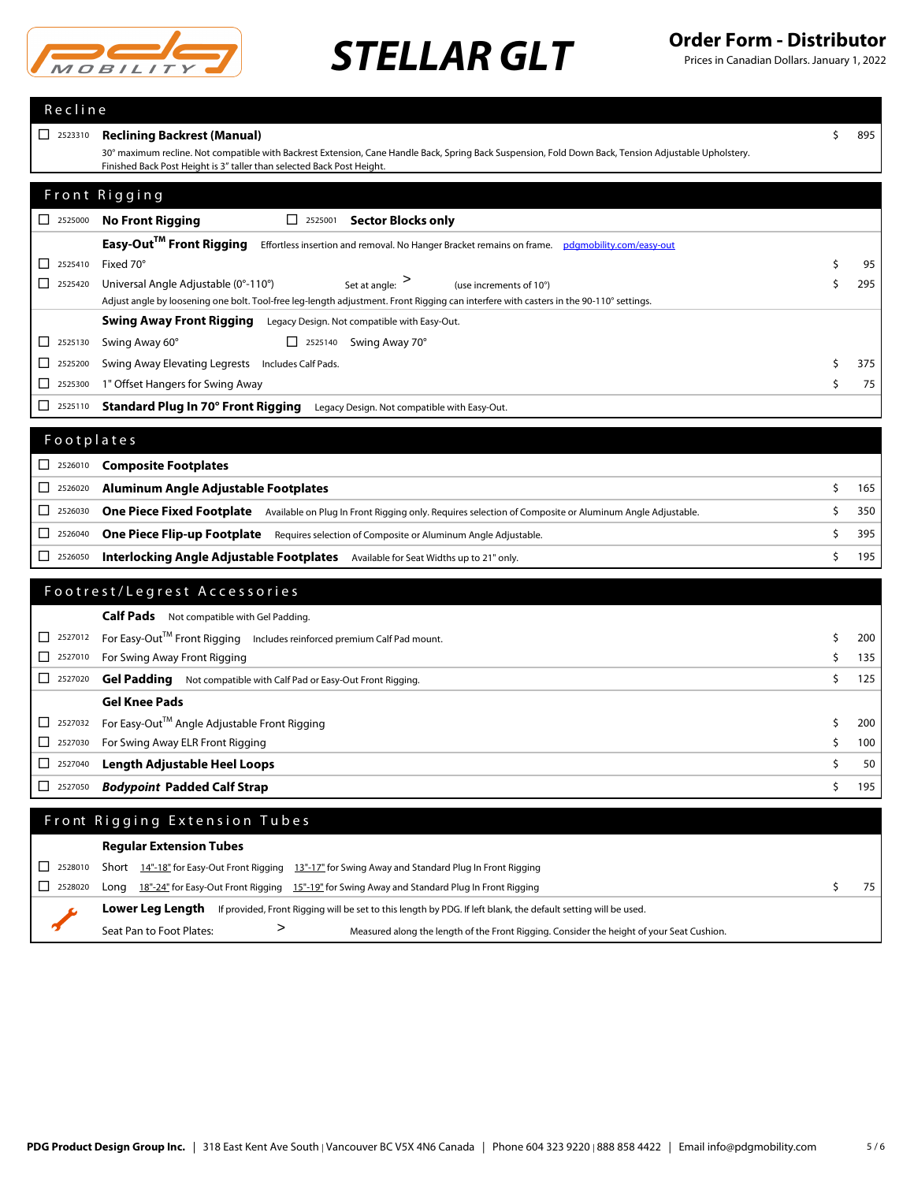

| Recline                                                               |                                                                                                                                                                                                                                 |    |           |
|-----------------------------------------------------------------------|---------------------------------------------------------------------------------------------------------------------------------------------------------------------------------------------------------------------------------|----|-----------|
| $\begin{array}{ c c }\n\hline\n\end{array}$ 2523310                   | <b>Reclining Backrest (Manual)</b>                                                                                                                                                                                              | \$ | 895       |
|                                                                       | 30° maximum recline. Not compatible with Backrest Extension, Cane Handle Back, Spring Back Suspension, Fold Down Back, Tension Adjustable Upholstery.<br>Finished Back Post Height is 3" taller than selected Back Post Height. |    |           |
|                                                                       |                                                                                                                                                                                                                                 |    |           |
|                                                                       | Front Rigging                                                                                                                                                                                                                   |    |           |
| $\begin{array}{ c c c }\n\hline\n\text{2525000}\n\hline\n\end{array}$ | <b>No Front Rigging</b><br>$\boxed{\phantom{0}}$ 2525001<br><b>Sector Blocks only</b>                                                                                                                                           |    |           |
|                                                                       | Easy-Out™ Front Rigging<br>Effortless insertion and removal. No Hanger Bracket remains on frame. pdgmobility.com/easy-out                                                                                                       |    |           |
| $\begin{array}{ c c }\n\hline\n\end{array}$ 2525410                   | Fixed 70°                                                                                                                                                                                                                       | \$ | 95        |
| $\begin{array}{ c c }\n\hline\n\end{array}$ 2525420                   | Set at angle: $>$<br>Universal Angle Adjustable (0°-110°)<br>(use increments of 10°)                                                                                                                                            | \$ | 295       |
|                                                                       | Adjust angle by loosening one bolt. Tool-free leg-length adjustment. Front Rigging can interfere with casters in the 90-110° settings.                                                                                          |    |           |
|                                                                       | <b>Swing Away Front Rigging</b> Legacy Design. Not compatible with Easy-Out.                                                                                                                                                    |    |           |
| 2525130<br>⊔.                                                         | Swing Away 60°<br>$\Box$ 2525140 Swing Away 70°                                                                                                                                                                                 | \$ |           |
| ப<br>2525200<br>2525300<br>⊔                                          | Swing Away Elevating Legrests Includes Calf Pads.<br>1" Offset Hangers for Swing Away                                                                                                                                           | \$ | 375<br>75 |
| 2525110                                                               |                                                                                                                                                                                                                                 |    |           |
| ⊔                                                                     | <b>Standard Plug In 70° Front Rigging</b><br>Legacy Design. Not compatible with Easy-Out.                                                                                                                                       |    |           |
| Footplates                                                            |                                                                                                                                                                                                                                 |    |           |
| $\begin{array}{ c c }\n\hline\n\end{array}$ 2526010                   | <b>Composite Footplates</b>                                                                                                                                                                                                     |    |           |
| □<br>2526020                                                          | Aluminum Angle Adjustable Footplates                                                                                                                                                                                            | \$ | 165       |
| 2526030<br>ப                                                          | One Piece Fixed Footplate Available on Plug In Front Rigging only. Requires selection of Composite or Aluminum Angle Adjustable.                                                                                                | \$ | 350       |
| 2526040<br>ப                                                          | One Piece Flip-up Footplate Requires selection of Composite or Aluminum Angle Adjustable.                                                                                                                                       | \$ | 395       |
| $\boxed{\phantom{000}}$ 2526050                                       | <b>Interlocking Angle Adjustable Footplates</b> Available for Seat Widths up to 21" only.                                                                                                                                       | \$ | 195       |
|                                                                       |                                                                                                                                                                                                                                 |    |           |
|                                                                       | Footrest/Legrest Accessories                                                                                                                                                                                                    |    |           |
|                                                                       | <b>Calf Pads</b> Not compatible with Gel Padding.                                                                                                                                                                               |    |           |
| $\Box$ 2527012                                                        | For Easy-Out™ Front Rigging Includes reinforced premium Calf Pad mount.                                                                                                                                                         | \$ | 200       |
| 2527010<br>ப                                                          | For Swing Away Front Rigging                                                                                                                                                                                                    | Ś  | 135       |
| $\begin{array}{ c c }\n\hline\n\end{array}$ 2527020                   | Gel Padding Not compatible with Calf Pad or Easy-Out Front Rigging.                                                                                                                                                             | \$ | 125       |
|                                                                       | <b>Gel Knee Pads</b>                                                                                                                                                                                                            |    |           |
| 2527032<br>⊔.                                                         | For Easy-Out™ Angle Adjustable Front Rigging                                                                                                                                                                                    | \$ | 200       |
| 2527030<br>⊔                                                          | For Swing Away ELR Front Rigging                                                                                                                                                                                                | \$ | 100       |
| □<br>2527040                                                          | <b>Length Adjustable Heel Loops</b>                                                                                                                                                                                             | \$ | 50        |
| ⊔<br>2527050                                                          | <b>Bodypoint Padded Calf Strap</b>                                                                                                                                                                                              | \$ | 195       |
|                                                                       | Front Rigging Extension Tubes                                                                                                                                                                                                   |    |           |
|                                                                       | <b>Regular Extension Tubes</b>                                                                                                                                                                                                  |    |           |
| 2528010<br>ப                                                          | Short $14-18$ for Easy-Out Front Rigging $13-17$ for Swing Away and Standard Plug In Front Rigging                                                                                                                              |    |           |
| 2528020<br>⊔                                                          | Long 18"-24" for Easy-Out Front Rigging 15"-19" for Swing Away and Standard Plug In Front Rigging                                                                                                                               | \$ | 75        |
|                                                                       | Lower Leg Length<br>If provided, Front Rigging will be set to this length by PDG. If left blank, the default setting will be used.                                                                                              |    |           |
|                                                                       | ><br>Seat Pan to Foot Plates:<br>Measured along the length of the Front Rigging. Consider the height of your Seat Cushion.                                                                                                      |    |           |